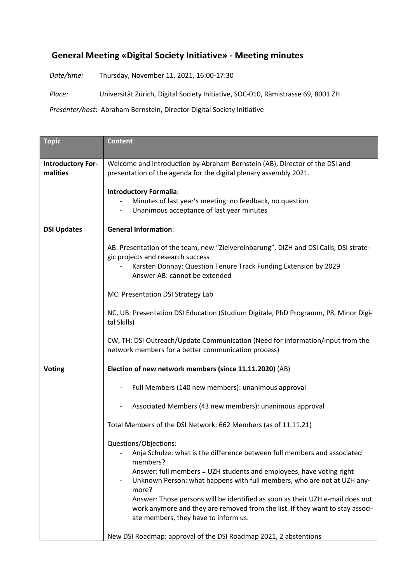## **General Meeting «Digital Society Initiative» - Meeting minutes**

*Date/time:* Thursday, November 11, 2021, 16:00-17:30

*Place:* Universität Zürich, Digital Society Initiative, SOC-010, Rämistrasse 69, 8001 ZH

*Presenter/host*: Abraham Bernstein, Director Digital Society Initiative

| <b>Topic</b>                         | <b>Content</b>                                                                                                                                                 |
|--------------------------------------|----------------------------------------------------------------------------------------------------------------------------------------------------------------|
| <b>Introductory For-</b><br>malities | Welcome and Introduction by Abraham Bernstein (AB), Director of the DSI and<br>presentation of the agenda for the digital plenary assembly 2021.               |
|                                      | <b>Introductory Formalia:</b>                                                                                                                                  |
|                                      | Minutes of last year's meeting: no feedback, no question                                                                                                       |
|                                      | Unanimous acceptance of last year minutes                                                                                                                      |
| <b>DSI Updates</b>                   | <b>General Information:</b>                                                                                                                                    |
|                                      | AB: Presentation of the team, new "Zielvereinbarung", DIZH and DSI Calls, DSI strate-<br>gic projects and research success                                     |
|                                      | Karsten Donnay: Question Tenure Track Funding Extension by 2029<br>Answer AB: cannot be extended                                                               |
|                                      | MC: Presentation DSI Strategy Lab                                                                                                                              |
|                                      | NC, UB: Presentation DSI Education (Studium Digitale, PhD Programm, P8, Minor Digi-<br>tal Skills)                                                             |
|                                      | CW, TH: DSI Outreach/Update Communication (Need for information/input from the<br>network members for a better communication process)                          |
| <b>Voting</b>                        | Election of new network members (since 11.11.2020) (AB)                                                                                                        |
|                                      | Full Members (140 new members): unanimous approval                                                                                                             |
|                                      | Associated Members (43 new members): unanimous approval                                                                                                        |
|                                      | Total Members of the DSI Network: 662 Members (as of 11.11.21)                                                                                                 |
|                                      | Questions/Objections:<br>Anja Schulze: what is the difference between full members and associated<br>members?                                                  |
|                                      | Answer: full members = UZH students and employees, have voting right<br>Unknown Person: what happens with full members, who are not at UZH any-<br>more?       |
|                                      | Answer: Those persons will be identified as soon as their UZH e-mail does not<br>work anymore and they are removed from the list. If they want to stay associ- |
|                                      | ate members, they have to inform us.                                                                                                                           |
|                                      | New DSI Roadmap: approval of the DSI Roadmap 2021, 2 abstentions                                                                                               |